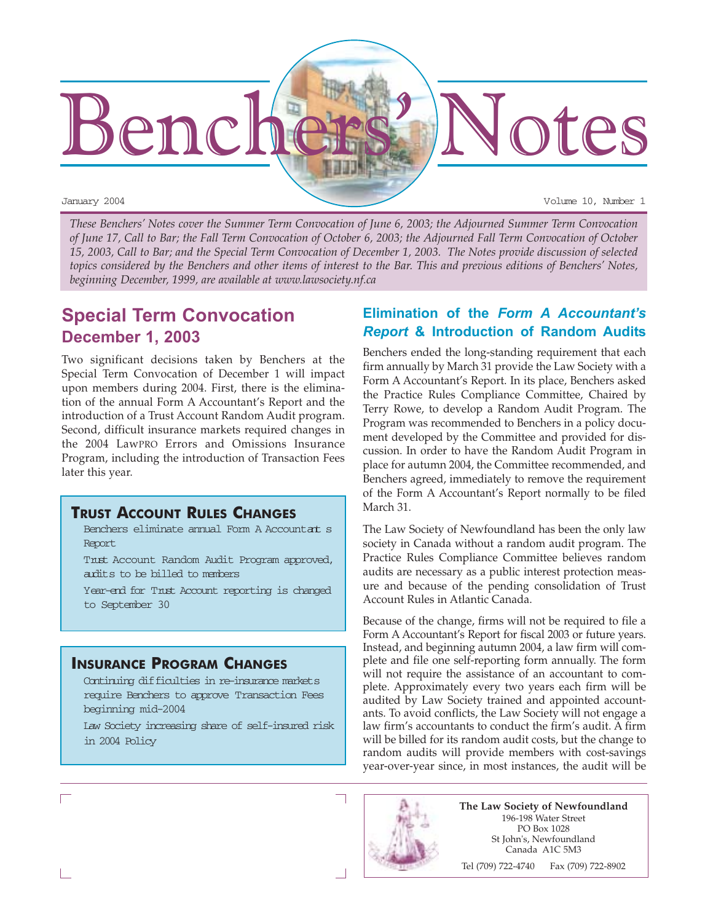

*These Benchers' Notes cover the Summer Term Convocation of June 6, 2003; the Adjourned Summer Term Convocation of June 17, Call to Bar; the Fall Term Convocation of October 6, 2003; the Adjourned Fall Term Convocation of October 15, 2003, Call to Bar; and the Special Term Convocation of December 1, 2003. The Notes provide discussion of selected topics considered by the Benchers and other items of interest to the Bar. This and previous editions of Benchers' Notes, beginning December, 1999, are available at www.lawsociety.nf.ca*

# **Special Term Convocation December 1, 2003**

Two significant decisions taken by Benchers at the Special Term Convocation of December 1 will impact upon members during 2004. First, there is the elimination of the annual Form A Accountant's Report and the introduction of a Trust Account Random Audit program. Second, difficult insurance markets required changes in the 2004 LawPRO Errors and Omissions Insurance Program, including the introduction of Transaction Fees later this year.

### **TRUST ACCOUNT RULES CHANGES**

Benchers eliminate annual Form A Accountat s Report

 Trust Account Random Audit Program approved, audits to be billed to members

 Year-end for Trust Account reporting is changed to September 30

### **INSURANCE PROGRAM CHANGES**

 Continuing difficulties in re-insurance markets require Benchers to approve Transaction Fees beginning mid-2004

 Law Society increasing share of self-insured risk in 2004 Policy

### **Elimination of the** *Form A Accountantís Report* **& Introduction of Random Audits**

Benchers ended the long-standing requirement that each firm annually by March 31 provide the Law Society with a Form A Accountant's Report. In its place, Benchers asked the Practice Rules Compliance Committee, Chaired by Terry Rowe, to develop a Random Audit Program. The Program was recommended to Benchers in a policy document developed by the Committee and provided for discussion. In order to have the Random Audit Program in place for autumn 2004, the Committee recommended, and Benchers agreed, immediately to remove the requirement of the Form A Accountant's Report normally to be filed March 31.

The Law Society of Newfoundland has been the only law society in Canada without a random audit program. The Practice Rules Compliance Committee believes random audits are necessary as a public interest protection measure and because of the pending consolidation of Trust Account Rules in Atlantic Canada.

Because of the change, firms will not be required to file a Form A Accountant's Report for fiscal 2003 or future years. Instead, and beginning autumn 2004, a law firm will complete and file one self-reporting form annually. The form will not require the assistance of an accountant to complete. Approximately every two years each firm will be audited by Law Society trained and appointed accountants. To avoid conflicts, the Law Society will not engage a law firm's accountants to conduct the firm's audit. A firm will be billed for its random audit costs, but the change to random audits will provide members with cost-savings year-over-year since, in most instances, the audit will be



**The Law Society of Newfoundland** 196-198 Water Street PO Box 1028 St John's, Newfoundland Canada A1C 5M3

Tel (709) 722-4740 Fax (709) 722-8902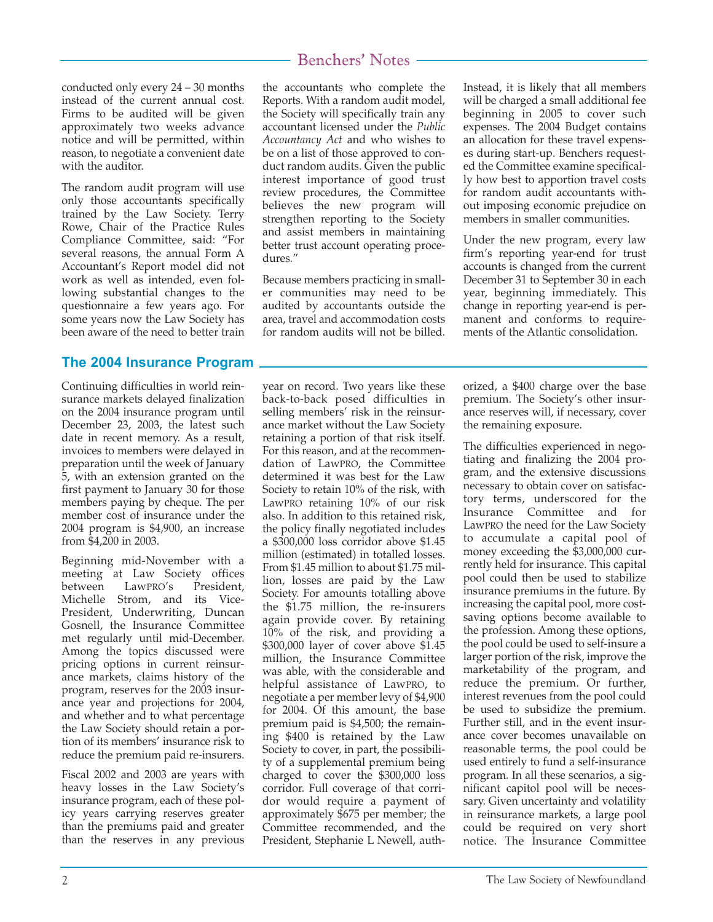conducted only every 24 – 30 months instead of the current annual cost. Firms to be audited will be given approximately two weeks advance notice and will be permitted, within reason, to negotiate a convenient date with the auditor.

The random audit program will use only those accountants specifically trained by the Law Society. Terry Rowe, Chair of the Practice Rules Compliance Committee, said: "For several reasons, the annual Form A Accountant's Report model did not work as well as intended, even following substantial changes to the questionnaire a few years ago. For some years now the Law Society has been aware of the need to better train

### **The 2004 Insurance Program**

Continuing difficulties in world reinsurance markets delayed finalization on the 2004 insurance program until December 23, 2003, the latest such date in recent memory. As a result, invoices to members were delayed in preparation until the week of January 5, with an extension granted on the first payment to January 30 for those members paying by cheque. The per member cost of insurance under the 2004 program is \$4,900, an increase from \$4,200 in 2003.

Beginning mid-November with a meeting at Law Society offices between LawPRO's President, Michelle Strom, and its Vice-President, Underwriting, Duncan Gosnell, the Insurance Committee met regularly until mid-December. Among the topics discussed were pricing options in current reinsurance markets, claims history of the program, reserves for the 2003 insurance year and projections for 2004, and whether and to what percentage the Law Society should retain a portion of its members' insurance risk to reduce the premium paid re-insurers.

Fiscal 2002 and 2003 are years with heavy losses in the Law Society's insurance program, each of these policy years carrying reserves greater than the premiums paid and greater than the reserves in any previous the accountants who complete the Reports. With a random audit model, the Society will specifically train any accountant licensed under the *Public Accountancy Act* and who wishes to be on a list of those approved to conduct random audits. Given the public interest importance of good trust review procedures, the Committee believes the new program will strengthen reporting to the Society and assist members in maintaining better trust account operating procedures."

Because members practicing in smaller communities may need to be audited by accountants outside the area, travel and accommodation costs for random audits will not be billed.

year on record. Two years like these back-to-back posed difficulties in selling members' risk in the reinsurance market without the Law Society retaining a portion of that risk itself. For this reason, and at the recommendation of LawPRO, the Committee determined it was best for the Law Society to retain 10% of the risk, with LawPRO retaining 10% of our risk also. In addition to this retained risk, the policy finally negotiated includes a \$300,000 loss corridor above \$1.45 million (estimated) in totalled losses. From \$1.45 million to about \$1.75 million, losses are paid by the Law Society. For amounts totalling above the \$1.75 million, the re-insurers again provide cover. By retaining 10% of the risk, and providing a \$300,000 layer of cover above \$1.45 million, the Insurance Committee was able, with the considerable and helpful assistance of LawPRO, to negotiate a per member levy of \$4,900 for 2004. Of this amount, the base premium paid is \$4,500; the remaining \$400 is retained by the Law Society to cover, in part, the possibility of a supplemental premium being charged to cover the \$300,000 loss corridor. Full coverage of that corridor would require a payment of approximately \$675 per member; the Committee recommended, and the President, Stephanie L Newell, authInstead, it is likely that all members will be charged a small additional fee beginning in 2005 to cover such expenses. The 2004 Budget contains an allocation for these travel expenses during start-up. Benchers requested the Committee examine specifically how best to apportion travel costs for random audit accountants without imposing economic prejudice on members in smaller communities.

Under the new program, every law firm's reporting year-end for trust accounts is changed from the current December 31 to September 30 in each year, beginning immediately. This change in reporting year-end is permanent and conforms to requirements of the Atlantic consolidation.

orized, a \$400 charge over the base premium. The Society's other insurance reserves will, if necessary, cover the remaining exposure.

The difficulties experienced in negotiating and finalizing the 2004 program, and the extensive discussions necessary to obtain cover on satisfactory terms, underscored for the Insurance Committee and for LawPRO the need for the Law Society to accumulate a capital pool of money exceeding the \$3,000,000 currently held for insurance. This capital pool could then be used to stabilize insurance premiums in the future. By increasing the capital pool, more costsaving options become available to the profession. Among these options, the pool could be used to self-insure a larger portion of the risk, improve the marketability of the program, and reduce the premium. Or further, interest revenues from the pool could be used to subsidize the premium. Further still, and in the event insurance cover becomes unavailable on reasonable terms, the pool could be used entirely to fund a self-insurance program. In all these scenarios, a significant capitol pool will be necessary. Given uncertainty and volatility in reinsurance markets, a large pool could be required on very short notice. The Insurance Committee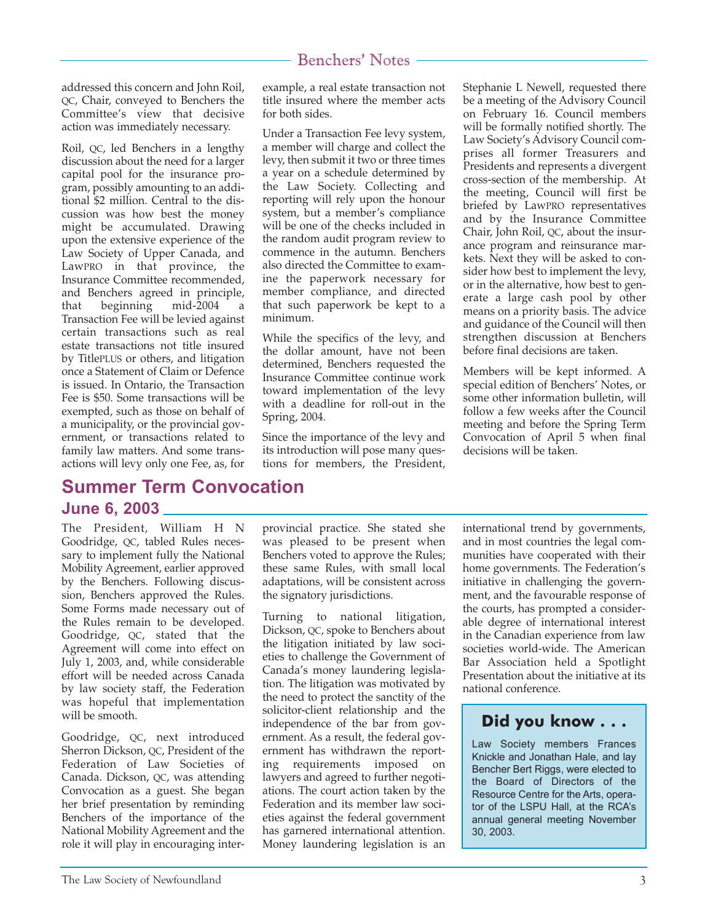addressed this concern and John Roil, QC, Chair, conveyed to Benchers the Committee's view that decisive action was immediately necessary.

Roil, QC, led Benchers in a lengthy discussion about the need for a larger capital pool for the insurance program, possibly amounting to an additional \$2 million. Central to the discussion was how best the money might be accumulated. Drawing upon the extensive experience of the Law Society of Upper Canada, and LawPRO in that province, the Insurance Committee recommended, and Benchers agreed in principle, that beginning mid-2004 a Transaction Fee will be levied against certain transactions such as real estate transactions not title insured by TitlePLUS or others, and litigation once a Statement of Claim or Defence is issued. In Ontario, the Transaction Fee is \$50. Some transactions will be exempted, such as those on behalf of a municipality, or the provincial government, or transactions related to family law matters. And some transactions will levy only one Fee, as, for

# **Summer Term Convocation June 6, 2003**

The President, William H N Goodridge, QC, tabled Rules necessary to implement fully the National Mobility Agreement, earlier approved by the Benchers. Following discussion, Benchers approved the Rules. Some Forms made necessary out of the Rules remain to be developed. Goodridge, QC, stated that the Agreement will come into effect on July 1, 2003, and, while considerable effort will be needed across Canada by law society staff, the Federation was hopeful that implementation will be smooth.

Goodridge, QC, next introduced Sherron Dickson, QC, President of the Federation of Law Societies of Canada. Dickson, QC, was attending Convocation as a guest. She began her brief presentation by reminding Benchers of the importance of the National Mobility Agreement and the role it will play in encouraging interexample, a real estate transaction not title insured where the member acts for both sides.

Under a Transaction Fee levy system, a member will charge and collect the levy, then submit it two or three times a year on a schedule determined by the Law Society. Collecting and reporting will rely upon the honour system, but a member's compliance will be one of the checks included in the random audit program review to commence in the autumn. Benchers also directed the Committee to examine the paperwork necessary for member compliance, and directed that such paperwork be kept to a minimum.

While the specifics of the levy, and the dollar amount, have not been determined, Benchers requested the Insurance Committee continue work toward implementation of the levy with a deadline for roll-out in the Spring, 2004.

Since the importance of the levy and its introduction will pose many questions for members, the President, Stephanie L Newell, requested there be a meeting of the Advisory Council on February 16. Council members will be formally notified shortly. The Law Society's Advisory Council comprises all former Treasurers and Presidents and represents a divergent cross-section of the membership. At the meeting, Council will first be briefed by LawPRO representatives and by the Insurance Committee Chair, John Roil, QC, about the insurance program and reinsurance markets. Next they will be asked to consider how best to implement the levy, or in the alternative, how best to generate a large cash pool by other means on a priority basis. The advice and guidance of the Council will then strengthen discussion at Benchers before final decisions are taken.

Members will be kept informed. A special edition of Benchers' Notes, or some other information bulletin, will follow a few weeks after the Council meeting and before the Spring Term Convocation of April 5 when final decisions will be taken.

provincial practice. She stated she was pleased to be present when Benchers voted to approve the Rules; these same Rules, with small local adaptations, will be consistent across the signatory jurisdictions.

Turning to national litigation, Dickson, QC, spoke to Benchers about the litigation initiated by law societies to challenge the Government of Canada's money laundering legislation. The litigation was motivated by the need to protect the sanctity of the solicitor-client relationship and the independence of the bar from government. As a result, the federal government has withdrawn the reporting requirements imposed on lawyers and agreed to further negotiations. The court action taken by the Federation and its member law societies against the federal government has garnered international attention. Money laundering legislation is an international trend by governments, and in most countries the legal communities have cooperated with their home governments. The Federation's initiative in challenging the government, and the favourable response of the courts, has prompted a considerable degree of international interest in the Canadian experience from law societies world-wide. The American Bar Association held a Spotlight Presentation about the initiative at its national conference.

### **Did you know . . .**

Law Society members Frances Knickle and Jonathan Hale, and lay Bencher Bert Riggs, were elected to the Board of Directors of the Resource Centre for the Arts, operator of the LSPU Hall, at the RCA's annual general meeting November 30, 2003.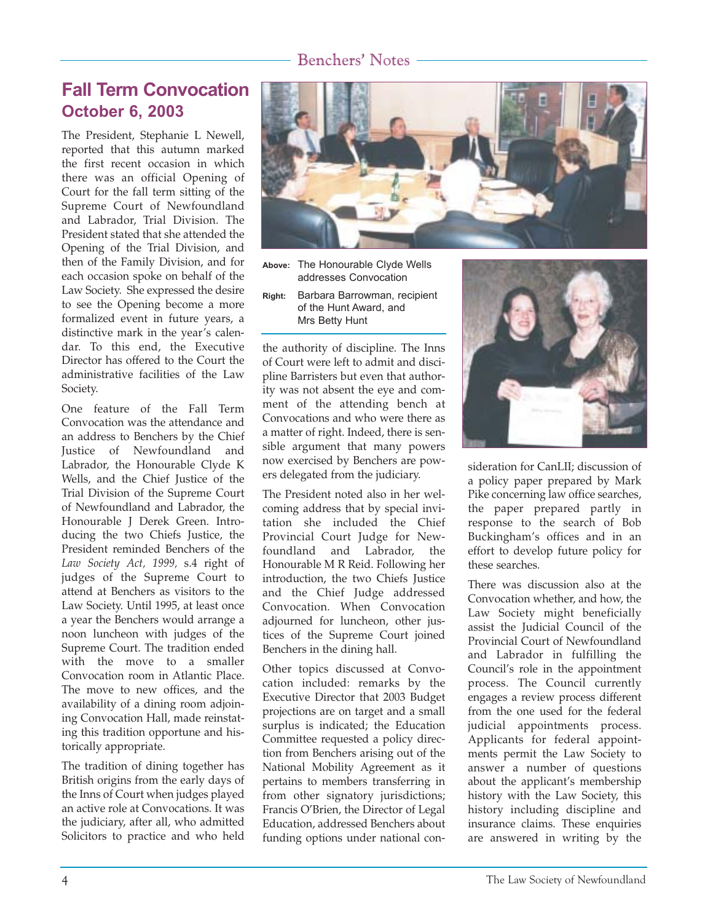# **Fall Term Convocation October 6, 2003**

The President, Stephanie L Newell, reported that this autumn marked the first recent occasion in which there was an official Opening of Court for the fall term sitting of the Supreme Court of Newfoundland and Labrador, Trial Division. The President stated that she attended the Opening of the Trial Division, and then of the Family Division, and for each occasion spoke on behalf of the Law Society. She expressed the desire to see the Opening become a more formalized event in future years, a distinctive mark in the year's calendar. To this end, the Executive Director has offered to the Court the administrative facilities of the Law Society.

One feature of the Fall Term Convocation was the attendance and an address to Benchers by the Chief Justice of Newfoundland and Labrador, the Honourable Clyde K Wells, and the Chief Justice of the Trial Division of the Supreme Court of Newfoundland and Labrador, the Honourable J Derek Green. Introducing the two Chiefs Justice, the President reminded Benchers of the *Law Society Act, 1999,* s.4 right of judges of the Supreme Court to attend at Benchers as visitors to the Law Society. Until 1995, at least once a year the Benchers would arrange a noon luncheon with judges of the Supreme Court. The tradition ended with the move to a smaller Convocation room in Atlantic Place. The move to new offices, and the availability of a dining room adjoining Convocation Hall, made reinstating this tradition opportune and historically appropriate.

The tradition of dining together has British origins from the early days of the Inns of Court when judges played an active role at Convocations. It was the judiciary, after all, who admitted Solicitors to practice and who held



**Above:** The Honourable Clyde Wells addresses Convocation

**Right:** Barbara Barrowman, recipient of the Hunt Award, and Mrs Betty Hunt

the authority of discipline. The Inns of Court were left to admit and discipline Barristers but even that authority was not absent the eye and comment of the attending bench at Convocations and who were there as a matter of right. Indeed, there is sensible argument that many powers now exercised by Benchers are powers delegated from the judiciary.

The President noted also in her welcoming address that by special invitation she included the Chief Provincial Court Judge for Newfoundland and Labrador, the Honourable M R Reid. Following her introduction, the two Chiefs Justice and the Chief Judge addressed Convocation. When Convocation adjourned for luncheon, other justices of the Supreme Court joined Benchers in the dining hall.

Other topics discussed at Convocation included: remarks by the Executive Director that 2003 Budget projections are on target and a small surplus is indicated; the Education Committee requested a policy direction from Benchers arising out of the National Mobility Agreement as it pertains to members transferring in from other signatory jurisdictions; Francis O'Brien, the Director of Legal Education, addressed Benchers about funding options under national con-



sideration for CanLII; discussion of a policy paper prepared by Mark Pike concerning law office searches, the paper prepared partly in response to the search of Bob Buckingham's offices and in an effort to develop future policy for these searches.

There was discussion also at the Convocation whether, and how, the Law Society might beneficially assist the Judicial Council of the Provincial Court of Newfoundland and Labrador in fulfilling the Council's role in the appointment process. The Council currently engages a review process different from the one used for the federal judicial appointments process. Applicants for federal appointments permit the Law Society to answer a number of questions about the applicant's membership history with the Law Society, this history including discipline and insurance claims. These enquiries are answered in writing by the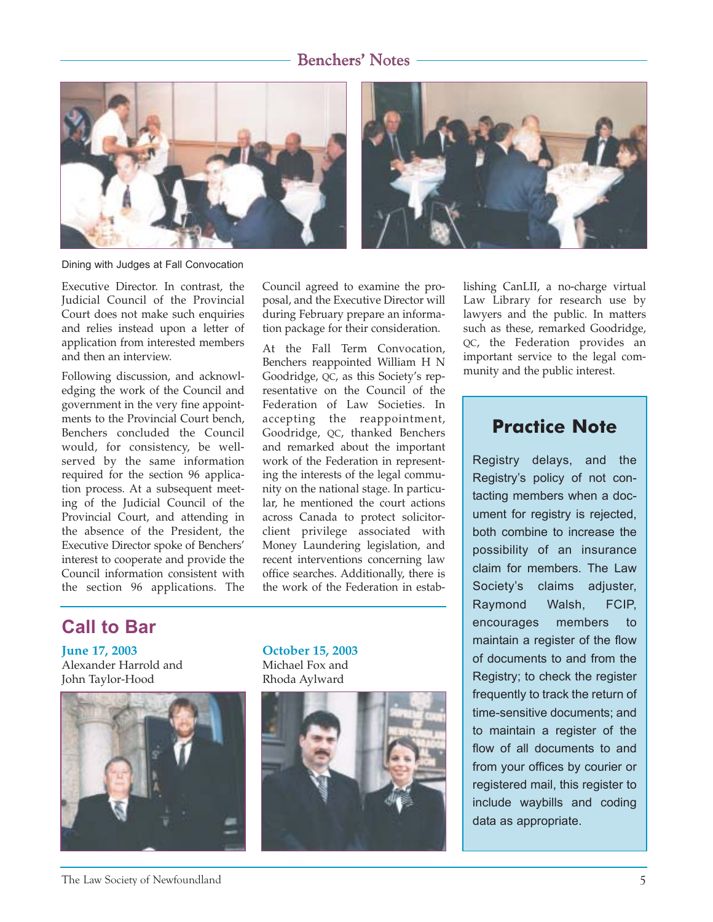

Dining with Judges at Fall Convocation

Executive Director. In contrast, the Judicial Council of the Provincial Court does not make such enquiries and relies instead upon a letter of application from interested members and then an interview.

Following discussion, and acknowledging the work of the Council and government in the very fine appointments to the Provincial Court bench, Benchers concluded the Council would, for consistency, be wellserved by the same information required for the section 96 application process. At a subsequent meeting of the Judicial Council of the Provincial Court, and attending in the absence of the President, the Executive Director spoke of Benchers' interest to cooperate and provide the Council information consistent with the section 96 applications. The

Council agreed to examine the proposal, and the Executive Director will during February prepare an information package for their consideration.

At the Fall Term Convocation, Benchers reappointed William H N Goodridge, QC, as this Society's representative on the Council of the Federation of Law Societies. In accepting the reappointment, Goodridge, QC, thanked Benchers and remarked about the important work of the Federation in representing the interests of the legal community on the national stage. In particular, he mentioned the court actions across Canada to protect solicitorclient privilege associated with Money Laundering legislation, and recent interventions concerning law office searches. Additionally, there is the work of the Federation in establishing CanLII, a no-charge virtual Law Library for research use by lawyers and the public. In matters such as these, remarked Goodridge, QC, the Federation provides an important service to the legal community and the public interest.

## **Practice Note**

Registry delays, and the Registry's policy of not contacting members when a document for registry is rejected, both combine to increase the possibility of an insurance claim for members. The Law Societyís claims adjuster, Raymond Walsh, FCIP, encourages members to maintain a register of the flow of documents to and from the Registry; to check the register frequently to track the return of time-sensitive documents; and to maintain a register of the flow of all documents to and from your offices by courier or registered mail, this register to include waybills and coding data as appropriate.

# **Call to Bar**

**June 17, 2003** Alexander Harrold and John Taylor-Hood



**October 15, 2003** Michael Fox and Rhoda Aylward

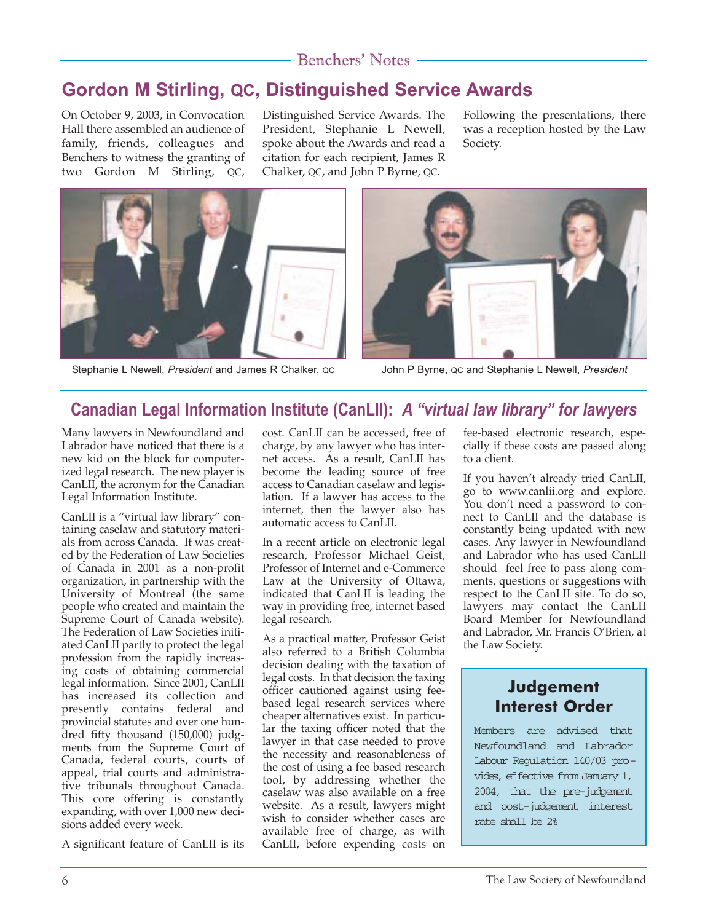# **Gordon M Stirling, QC, Distinguished Service Awards**

On October 9, 2003, in Convocation Hall there assembled an audience of family, friends, colleagues and Benchers to witness the granting of two Gordon M Stirling, QC,

Distinguished Service Awards. The President, Stephanie L Newell, spoke about the Awards and read a citation for each recipient, James R Chalker, QC, and John P Byrne, QC.

Following the presentations, there was a reception hosted by the Law Society.



Stephanie L Newell, *President* and James R Chalker, QC John P Byrne, QC and Stephanie L Newell, *President*



# **Canadian Legal Information Institute (CanLII): A "virtual law library" for lawyers**

Many lawyers in Newfoundland and Labrador have noticed that there is a new kid on the block for computerized legal research. The new player is CanLII, the acronym for the Canadian Legal Information Institute.

CanLII is a "virtual law library" containing caselaw and statutory materials from across Canada. It was created by the Federation of Law Societies of Canada in 2001 as a non-profit organization, in partnership with the University of Montreal (the same people who created and maintain the Supreme Court of Canada website). The Federation of Law Societies initiated CanLII partly to protect the legal profession from the rapidly increasing costs of obtaining commercial legal information. Since 2001, CanLII has increased its collection and presently contains federal and provincial statutes and over one hundred fifty thousand (150,000) judgments from the Supreme Court of Canada, federal courts, courts of appeal, trial courts and administrative tribunals throughout Canada. This core offering is constantly expanding, with over 1,000 new decisions added every week.

A significant feature of CanLII is its

cost. CanLII can be accessed, free of charge, by any lawyer who has internet access. As a result, CanLII has become the leading source of free access to Canadian caselaw and legislation. If a lawyer has access to the internet, then the lawyer also has automatic access to CanLII.

In a recent article on electronic legal research, Professor Michael Geist, Professor of Internet and e-Commerce Law at the University of Ottawa, indicated that CanLII is leading the way in providing free, internet based legal research.

As a practical matter, Professor Geist also referred to a British Columbia decision dealing with the taxation of legal costs. In that decision the taxing officer cautioned against using feebased legal research services where cheaper alternatives exist. In particular the taxing officer noted that the lawyer in that case needed to prove the necessity and reasonableness of the cost of using a fee based research tool, by addressing whether the caselaw was also available on a free website. As a result, lawyers might wish to consider whether cases are available free of charge, as with CanLII, before expending costs on fee-based electronic research, especially if these costs are passed along to a client.

If you haven't already tried CanLII, go to www.canlii.org and explore. You don't need a password to connect to CanLII and the database is constantly being updated with new cases. Any lawyer in Newfoundland and Labrador who has used CanLII should feel free to pass along comments, questions or suggestions with respect to the CanLII site. To do so, lawyers may contact the CanLII Board Member for Newfoundland and Labrador, Mr. Francis O'Brien, at the Law Society.

## **Judgement Interest Order**

Members are advised that Newfoundland and Labrador Labour Regulation 140/03 provides, effective from January 1, 2004, that the pre-judgement and post-judgement interest rate shall be 2%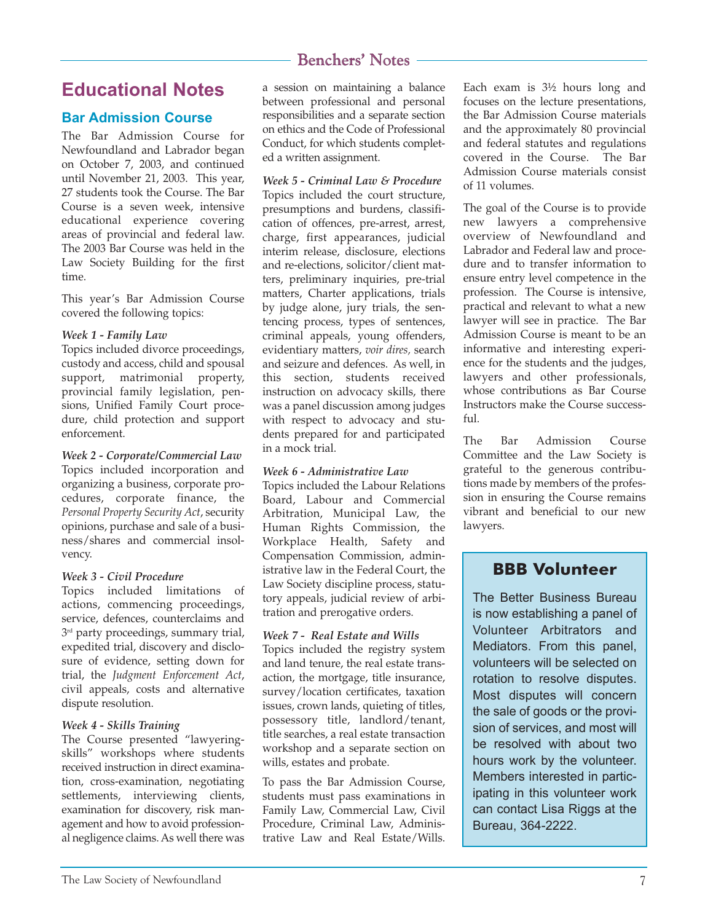## **Educational Notes**

### **Bar Admission Course**

The Bar Admission Course for Newfoundland and Labrador began on October 7, 2003, and continued until November 21, 2003. This year, 27 students took the Course. The Bar Course is a seven week, intensive educational experience covering areas of provincial and federal law. The 2003 Bar Course was held in the Law Society Building for the first time.

This year's Bar Admission Course covered the following topics:

#### *Week 1 - Family Law*

Topics included divorce proceedings, custody and access, child and spousal support, matrimonial property, provincial family legislation, pensions, Unified Family Court procedure, child protection and support enforcement.

*Week 2 - Corporate/Commercial Law* Topics included incorporation and organizing a business, corporate procedures, corporate finance, the *Personal Property Security Act*, security opinions, purchase and sale of a business/shares and commercial insolvency.

#### *Week 3 - Civil Procedure*

Topics included limitations of actions, commencing proceedings, service, defences, counterclaims and  $3<sup>rd</sup>$  party proceedings, summary trial, expedited trial, discovery and disclosure of evidence, setting down for trial, the *Judgment Enforcement Act*, civil appeals, costs and alternative dispute resolution.

#### *Week 4 - Skills Training*

The Course presented "lawyeringskills" workshops where students received instruction in direct examination, cross-examination, negotiating settlements, interviewing clients, examination for discovery, risk management and how to avoid professional negligence claims. As well there was a session on maintaining a balance between professional and personal responsibilities and a separate section on ethics and the Code of Professional Conduct, for which students completed a written assignment.

*Week 5 - Criminal Law & Procedure* Topics included the court structure, presumptions and burdens, classification of offences, pre-arrest, arrest, charge, first appearances, judicial interim release, disclosure, elections and re-elections, solicitor/client matters, preliminary inquiries, pre-trial matters, Charter applications, trials by judge alone, jury trials, the sentencing process, types of sentences, criminal appeals, young offenders, evidentiary matters, *voir dires,* search and seizure and defences. As well, in this section, students received instruction on advocacy skills, there was a panel discussion among judges with respect to advocacy and students prepared for and participated in a mock trial.

#### *Week 6 - Administrative Law*

Topics included the Labour Relations Board, Labour and Commercial Arbitration, Municipal Law, the Human Rights Commission, the Workplace Health, Safety and Compensation Commission, administrative law in the Federal Court, the Law Society discipline process, statutory appeals, judicial review of arbitration and prerogative orders.

### *Week 7 - Real Estate and Wills*

Topics included the registry system and land tenure, the real estate transaction, the mortgage, title insurance, survey/location certificates, taxation issues, crown lands, quieting of titles, possessory title, landlord/tenant, title searches, a real estate transaction workshop and a separate section on wills, estates and probate.

To pass the Bar Admission Course, students must pass examinations in Family Law, Commercial Law, Civil Procedure, Criminal Law, Administrative Law and Real Estate/Wills. Each exam is 3½ hours long and focuses on the lecture presentations, the Bar Admission Course materials and the approximately 80 provincial and federal statutes and regulations covered in the Course. The Bar Admission Course materials consist of 11 volumes.

The goal of the Course is to provide new lawyers a comprehensive overview of Newfoundland and Labrador and Federal law and procedure and to transfer information to ensure entry level competence in the profession. The Course is intensive, practical and relevant to what a new lawyer will see in practice. The Bar Admission Course is meant to be an informative and interesting experience for the students and the judges, lawyers and other professionals, whose contributions as Bar Course Instructors make the Course successful.

The Bar Admission Course Committee and the Law Society is grateful to the generous contributions made by members of the profession in ensuring the Course remains vibrant and beneficial to our new lawyers.

### **BBB Volunteer**

The Better Business Bureau is now establishing a panel of Volunteer Arbitrators and Mediators. From this panel, volunteers will be selected on rotation to resolve disputes. Most disputes will concern the sale of goods or the provision of services, and most will be resolved with about two hours work by the volunteer. Members interested in participating in this volunteer work can contact Lisa Riggs at the Bureau, 364-2222.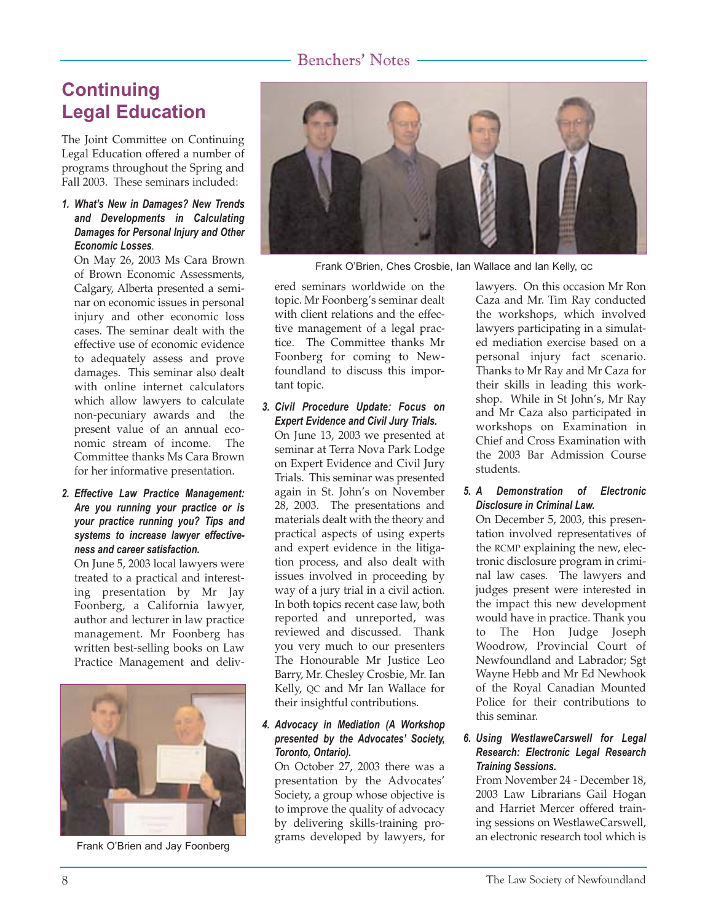# **Continuing Legal Education**

The Joint Committee on Continuing Legal Education offered a number of programs throughout the Spring and Fall 2003. These seminars included:

#### *1. Whatís New in Damages? New Trends and Developments in Calculating Damages for Personal Injury and Other Economic Losses*.

On May 26, 2003 Ms Cara Brown of Brown Economic Assessments, Calgary, Alberta presented a seminar on economic issues in personal injury and other economic loss cases. The seminar dealt with the effective use of economic evidence to adequately assess and prove damages. This seminar also dealt with online internet calculators which allow lawyers to calculate non-pecuniary awards and the present value of an annual economic stream of income. The Committee thanks Ms Cara Brown for her informative presentation.

*2. Effective Law Practice Management: Are you running your practice or is your practice running you? Tips and systems to increase lawyer effectiveness and career satisfaction.*

On June 5, 2003 local lawyers were treated to a practical and interesting presentation by Mr Jay Foonberg, a California lawyer, author and lecturer in law practice management. Mr Foonberg has written best-selling books on Law Practice Management and deliv-



Frank O'Brien and Jay Foonberg



Frank OíBrien, Ches Crosbie, Ian Wallace and Ian Kelly, QC

ered seminars worldwide on the topic. Mr Foonberg's seminar dealt with client relations and the effective management of a legal practice. The Committee thanks Mr Foonberg for coming to Newfoundland to discuss this important topic.

*3. Civil Procedure Update: Focus on Expert Evidence and Civil Jury Trials.*

On June 13, 2003 we presented at seminar at Terra Nova Park Lodge on Expert Evidence and Civil Jury Trials. This seminar was presented again in St. John's on November 28, 2003. The presentations and materials dealt with the theory and practical aspects of using experts and expert evidence in the litigation process, and also dealt with issues involved in proceeding by way of a jury trial in a civil action. In both topics recent case law, both reported and unreported, was reviewed and discussed. Thank you very much to our presenters The Honourable Mr Justice Leo Barry, Mr. Chesley Crosbie, Mr. Ian Kelly, QC and Mr Ian Wallace for their insightful contributions.

#### *4. Advocacy in Mediation (A Workshop presented by the Advocatesí Society, Toronto, Ontario).*

On October 27, 2003 there was a presentation by the Advocates' Society, a group whose objective is to improve the quality of advocacy by delivering skills-training programs developed by lawyers, for lawyers. On this occasion Mr Ron Caza and Mr. Tim Ray conducted the workshops, which involved lawyers participating in a simulated mediation exercise based on a personal injury fact scenario. Thanks to Mr Ray and Mr Caza for their skills in leading this workshop. While in St John's, Mr Ray and Mr Caza also participated in workshops on Examination in Chief and Cross Examination with the 2003 Bar Admission Course students.

#### *5. A Demonstration of Electronic Disclosure in Criminal Law.*

On December 5, 2003, this presentation involved representatives of the RCMP explaining the new, electronic disclosure program in criminal law cases. The lawyers and judges present were interested in the impact this new development would have in practice. Thank you to The Hon Judge Joseph Woodrow, Provincial Court of Newfoundland and Labrador; Sgt Wayne Hebb and Mr Ed Newhook of the Royal Canadian Mounted Police for their contributions to this seminar.

#### *6. Using WestlaweCarswell for Legal Research: Electronic Legal Research Training Sessions.*

From November 24 - December 18, 2003 Law Librarians Gail Hogan and Harriet Mercer offered training sessions on WestlaweCarswell, an electronic research tool which is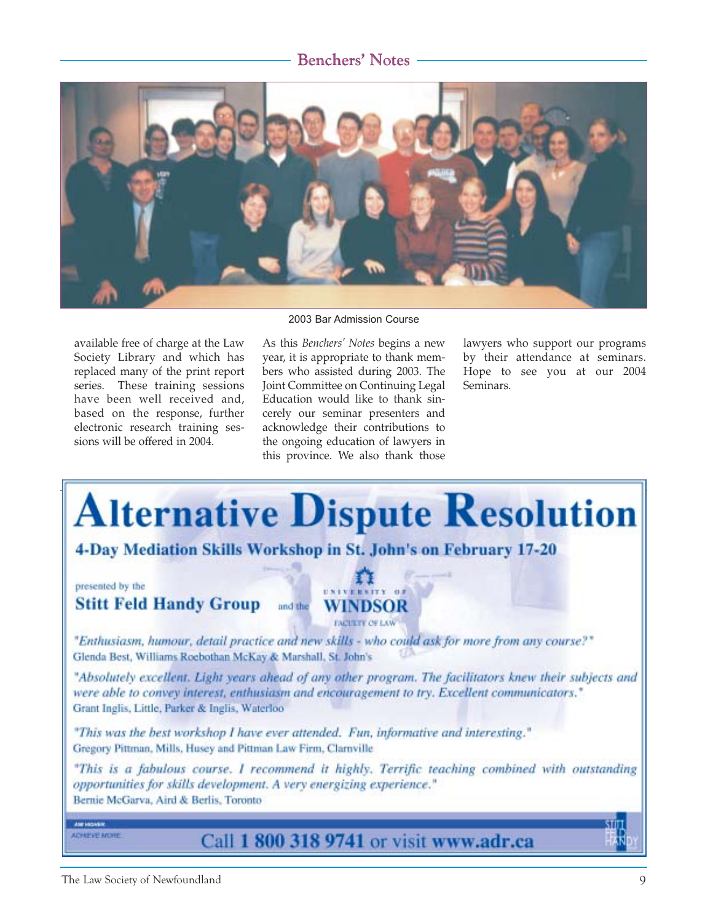

2003 Bar Admission Course

available free of charge at the Law Society Library and which has replaced many of the print report series. These training sessions have been well received and, based on the response, further electronic research training sessions will be offered in 2004.

As this *Benchers' Notes* begins a new year, it is appropriate to thank members who assisted during 2003. The Joint Committee on Continuing Legal Education would like to thank sincerely our seminar presenters and acknowledge their contributions to the ongoing education of lawyers in this province. We also thank those

lawyers who support our programs by their attendance at seminars. Hope to see you at our 2004 Seminars.



The Law Society of Newfoundland 9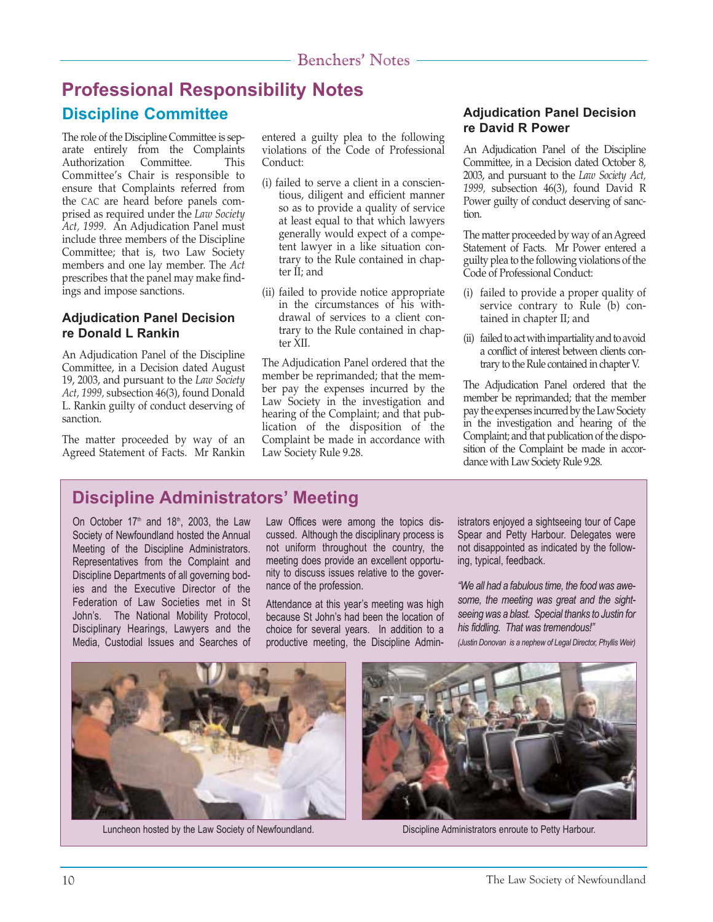# **Professional Responsibility Notes Discipline Committee**

The role of the Discipline Committee is separate entirely from the Complaints Authorization Committee. This Committee's Chair is responsible to ensure that Complaints referred from the CAC are heard before panels comprised as required under the *Law Society Act, 1999*. An Adjudication Panel must include three members of the Discipline Committee; that is, two Law Society members and one lay member. The *Act* prescribes that the panel may make findings and impose sanctions.

### **Adjudication Panel Decision re Donald L Rankin**

An Adjudication Panel of the Discipline Committee, in a Decision dated August 19, 2003, and pursuant to the *Law Society Act, 1999,* subsection 46(3), found Donald L. Rankin guilty of conduct deserving of sanction.

The matter proceeded by way of an Agreed Statement of Facts. Mr Rankin entered a guilty plea to the following violations of the Code of Professional Conduct:

- (i) failed to serve a client in a conscientious, diligent and efficient manner so as to provide a quality of service at least equal to that which lawyers generally would expect of a competent lawyer in a like situation contrary to the Rule contained in chapter II; and
- (ii) failed to provide notice appropriate in the circumstances of his withdrawal of services to a client contrary to the Rule contained in chapter XII.

The Adjudication Panel ordered that the member be reprimanded; that the member pay the expenses incurred by the Law Society in the investigation and hearing of the Complaint; and that publication of the disposition of the Complaint be made in accordance with Law Society Rule 9.28.

### **Adjudication Panel Decision re David R Power**

An Adjudication Panel of the Discipline Committee, in a Decision dated October 8, 2003, and pursuant to the *Law Society Act, 1999,* subsection 46(3), found David R Power guilty of conduct deserving of sanction.

The matter proceeded by way of an Agreed Statement of Facts. Mr Power entered a guilty plea to the following violations of the Code of Professional Conduct:

- (i) failed to provide a proper quality of service contrary to Rule (b) contained in chapter II; and
- (ii) failed to act with impartiality and to avoid a conflict of interest between clients contrary to the Rule contained in chapter V.

The Adjudication Panel ordered that the member be reprimanded; that the member pay the expenses incurred by the Law Society in the investigation and hearing of the Complaint; and that publication of the disposition of the Complaint be made in accordance with Law Society Rule 9.28.

# **Discipline Administrators' Meeting**

On October  $17<sup>th</sup>$  and  $18<sup>th</sup>$ , 2003, the Law Society of Newfoundland hosted the Annual Meeting of the Discipline Administrators. Representatives from the Complaint and Discipline Departments of all governing bodies and the Executive Director of the Federation of Law Societies met in St John's. The National Mobility Protocol, Disciplinary Hearings, Lawyers and the Media, Custodial Issues and Searches of Law Offices were among the topics discussed. Although the disciplinary process is not uniform throughout the country, the meeting does provide an excellent opportunity to discuss issues relative to the governance of the profession.

Attendance at this year's meeting was high because St Johnís had been the location of choice for several years. In addition to a productive meeting, the Discipline Administrators enjoyed a sightseeing tour of Cape Spear and Petty Harbour. Delegates were not disappointed as indicated by the following, typical, feedback.

*ìWe all had a fabulous time, the food was awesome, the meeting was great and the sightseeing was a blast. Special thanks to Justin for his fiddling. That was tremendous!î (Justin Donovan is a nephew of Legal Director, Phyllis Weir)*



Luncheon hosted by the Law Society of Newfoundland. Discipline Administrators enroute to Petty Harbour.

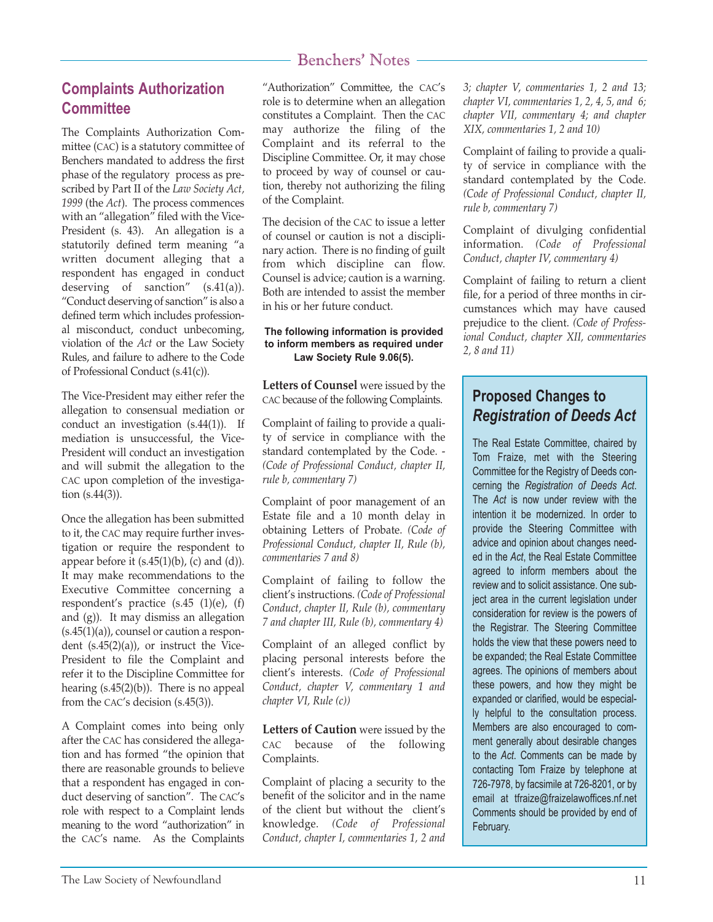## **Complaints Authorization Committee**

The Complaints Authorization Committee (CAC) is a statutory committee of Benchers mandated to address the first phase of the regulatory process as prescribed by Part II of the *Law Society Act, 1999* (the *Act*). The process commences with an "allegation" filed with the Vice-President (s. 43). An allegation is a statutorily defined term meaning "a written document alleging that a respondent has engaged in conduct deserving of sanction" (s.41(a)). "Conduct deserving of sanction" is also a defined term which includes professional misconduct, conduct unbecoming, violation of the *Act* or the Law Society Rules, and failure to adhere to the Code of Professional Conduct (s.41(c)).

The Vice-President may either refer the allegation to consensual mediation or conduct an investigation (s.44(1)). If mediation is unsuccessful, the Vice-President will conduct an investigation and will submit the allegation to the CAC upon completion of the investigation (s.44(3)).

Once the allegation has been submitted to it, the CAC may require further investigation or require the respondent to appear before it  $(s.45(1)(b)$ ,  $(c)$  and  $(d)$ ). It may make recommendations to the Executive Committee concerning a respondent's practice (s.45 (1)(e), (f) and (g)). It may dismiss an allegation  $(s.45(1)(a))$ , counsel or caution a respondent  $(s.45(2)(a))$ , or instruct the Vice-President to file the Complaint and refer it to the Discipline Committee for hearing (s.45(2)(b)). There is no appeal from the CAC's decision (s.45(3)).

A Complaint comes into being only after the CAC has considered the allegation and has formed "the opinion that there are reasonable grounds to believe that a respondent has engaged in conduct deserving of sanction". The CAC's role with respect to a Complaint lends meaning to the word "authorization" in the CAC's name. As the Complaints

"Authorization" Committee, the CAC's role is to determine when an allegation constitutes a Complaint. Then the CAC may authorize the filing of the Complaint and its referral to the Discipline Committee. Or, it may chose to proceed by way of counsel or caution, thereby not authorizing the filing of the Complaint.

The decision of the CAC to issue a letter of counsel or caution is not a disciplinary action. There is no finding of guilt from which discipline can flow. Counsel is advice; caution is a warning. Both are intended to assist the member in his or her future conduct.

#### **The following information is provided to inform members as required under Law Society Rule 9.06(5).**

**Letters of Counsel** were issued by the CAC because of the following Complaints.

Complaint of failing to provide a quality of service in compliance with the standard contemplated by the Code. - *(Code of Professional Conduct, chapter II, rule b, commentary 7)*

Complaint of poor management of an Estate file and a 10 month delay in obtaining Letters of Probate. *(Code of Professional Conduct, chapter II, Rule (b), commentaries 7 and 8)*

Complaint of failing to follow the client's instructions. *(Code of Professional Conduct, chapter II, Rule (b), commentary 7 and chapter III, Rule (b), commentary 4)*

Complaint of an alleged conflict by placing personal interests before the client's interests. *(Code of Professional Conduct, chapter V, commentary 1 and chapter VI, Rule (c))*

**Letters of Caution** were issued by the CAC because of the following Complaints.

Complaint of placing a security to the benefit of the solicitor and in the name of the client but without the client's knowledge. *(Code of Professional Conduct, chapter I, commentaries 1, 2 and* *3; chapter V, commentaries 1, 2 and 13; chapter VI, commentaries 1, 2, 4, 5, and 6; chapter VII, commentary 4; and chapter XIX, commentaries 1, 2 and 10)*

Complaint of failing to provide a quality of service in compliance with the standard contemplated by the Code. *(Code of Professional Conduct, chapter II, rule b, commentary 7)*

Complaint of divulging confidential information. *(Code of Professional Conduct, chapter IV, commentary 4)*

Complaint of failing to return a client file, for a period of three months in circumstances which may have caused prejudice to the client. *(Code of Professional Conduct, chapter XII, commentaries 2, 8 and 11)*

## **Proposed Changes to** *Registration of Deeds Act*

The Real Estate Committee, chaired by Tom Fraize, met with the Steering Committee for the Registry of Deeds concerning the *Registration of Deeds Act*. The *Act* is now under review with the intention it be modernized. In order to provide the Steering Committee with advice and opinion about changes needed in the *Act*, the Real Estate Committee agreed to inform members about the review and to solicit assistance. One subject area in the current legislation under consideration for review is the powers of the Registrar. The Steering Committee holds the view that these powers need to be expanded; the Real Estate Committee agrees. The opinions of members about these powers, and how they might be expanded or clarified, would be especially helpful to the consultation process. Members are also encouraged to comment generally about desirable changes to the *Act*. Comments can be made by contacting Tom Fraize by telephone at 726-7978, by facsimile at 726-8201, or by email at tfraize@fraizelawoffices.nf.net Comments should be provided by end of February.